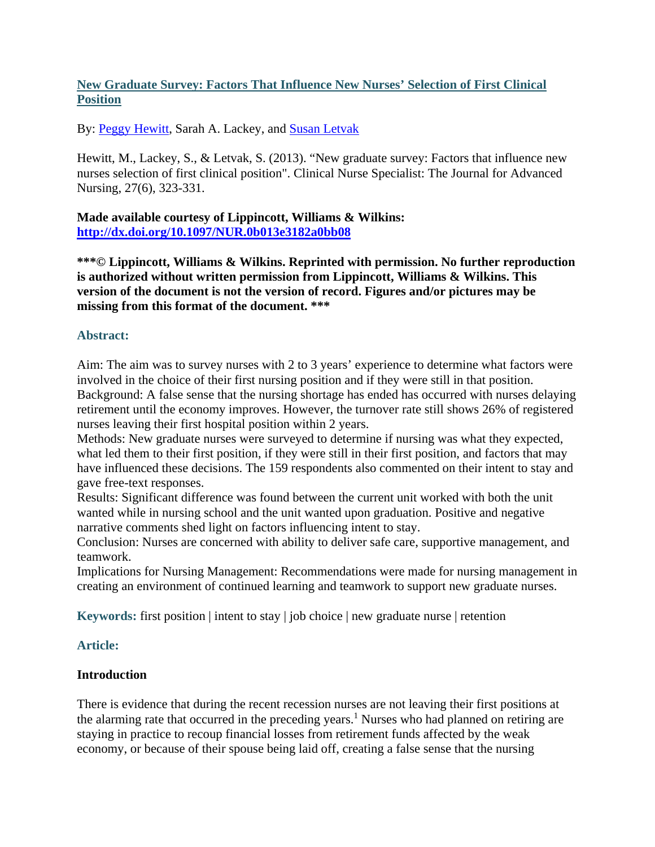# **New Graduate Survey: Factors That Influence New Nurses' Selection of First Clinical Position**

By: Peggy Hewitt, Sarah A. Lackey, and Susan Letvak

Hewitt, M., Lackey, S., & Letvak, S. (2013). "New graduate survey: Factors that influence new nurses selection of first clinical position". Clinical Nurse Specialist: The Journal for Advanced Nursing, 27(6), 323-331.

**Made available courtesy of Lippincott, Williams & Wilkins: http://dx.doi.org/10.1097/NUR.0b013e3182a0bb08**

**\*\*\*© Lippincott, Williams & Wilkins. Reprinted with permission. No further reproduction is authorized without written permission from Lippincott, Williams & Wilkins. This version of the document is not the version of record. Figures and/or pictures may be missing from this format of the document. \*\*\*** 

## **Abstract:**

Aim: The aim was to survey nurses with 2 to 3 years' experience to determine what factors were involved in the choice of their first nursing position and if they were still in that position. Background: A false sense that the nursing shortage has ended has occurred with nurses delaying retirement until the economy improves. However, the turnover rate still shows 26% of registered nurses leaving their first hospital position within 2 years.

Methods: New graduate nurses were surveyed to determine if nursing was what they expected, what led them to their first position, if they were still in their first position, and factors that may have influenced these decisions. The 159 respondents also commented on their intent to stay and gave free-text responses.

Results: Significant difference was found between the current unit worked with both the unit wanted while in nursing school and the unit wanted upon graduation. Positive and negative narrative comments shed light on factors influencing intent to stay.

Conclusion: Nurses are concerned with ability to deliver safe care, supportive management, and teamwork.

Implications for Nursing Management: Recommendations were made for nursing management in creating an environment of continued learning and teamwork to support new graduate nurses.

**Keywords:** first position | intent to stay | job choice | new graduate nurse | retention

# **Article:**

## **Introduction**

There is evidence that during the recent recession nurses are not leaving their first positions at the alarming rate that occurred in the preceding years.<sup>1</sup> Nurses who had planned on retiring are staying in practice to recoup financial losses from retirement funds affected by the weak economy, or because of their spouse being laid off, creating a false sense that the nursing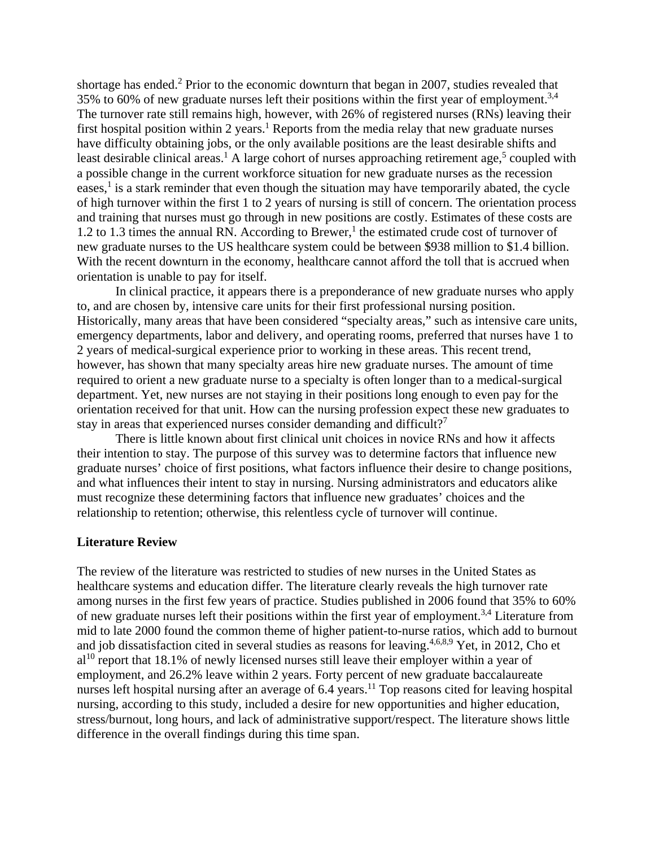shortage has ended.<sup>2</sup> Prior to the economic downturn that began in 2007, studies revealed that 35% to 60% of new graduate nurses left their positions within the first year of employment.<sup>3,4</sup> The turnover rate still remains high, however, with 26% of registered nurses (RNs) leaving their first hospital position within 2 years.<sup>1</sup> Reports from the media relay that new graduate nurses have difficulty obtaining jobs, or the only available positions are the least desirable shifts and least desirable clinical areas.<sup>1</sup> A large cohort of nurses approaching retirement age,<sup>5</sup> coupled with a possible change in the current workforce situation for new graduate nurses as the recession eases,<sup>1</sup> is a stark reminder that even though the situation may have temporarily abated, the cycle of high turnover within the first 1 to 2 years of nursing is still of concern. The orientation process and training that nurses must go through in new positions are costly. Estimates of these costs are 1.2 to 1.3 times the annual RN. According to Brewer,<sup>1</sup> the estimated crude cost of turnover of new graduate nurses to the US healthcare system could be between \$938 million to \$1.4 billion. With the recent downturn in the economy, healthcare cannot afford the toll that is accrued when orientation is unable to pay for itself.

In clinical practice, it appears there is a preponderance of new graduate nurses who apply to, and are chosen by, intensive care units for their first professional nursing position. Historically, many areas that have been considered "specialty areas," such as intensive care units, emergency departments, labor and delivery, and operating rooms, preferred that nurses have 1 to 2 years of medical-surgical experience prior to working in these areas. This recent trend, however, has shown that many specialty areas hire new graduate nurses. The amount of time required to orient a new graduate nurse to a specialty is often longer than to a medical-surgical department. Yet, new nurses are not staying in their positions long enough to even pay for the orientation received for that unit. How can the nursing profession expect these new graduates to stay in areas that experienced nurses consider demanding and difficult?<sup>7</sup>

There is little known about first clinical unit choices in novice RNs and how it affects their intention to stay. The purpose of this survey was to determine factors that influence new graduate nurses' choice of first positions, what factors influence their desire to change positions, and what influences their intent to stay in nursing. Nursing administrators and educators alike must recognize these determining factors that influence new graduates' choices and the relationship to retention; otherwise, this relentless cycle of turnover will continue.

### **Literature Review**

The review of the literature was restricted to studies of new nurses in the United States as healthcare systems and education differ. The literature clearly reveals the high turnover rate among nurses in the first few years of practice. Studies published in 2006 found that 35% to 60% of new graduate nurses left their positions within the first year of employment.3,4 Literature from mid to late 2000 found the common theme of higher patient-to-nurse ratios, which add to burnout and job dissatisfaction cited in several studies as reasons for leaving.<sup>4,6,8,9</sup> Yet, in 2012, Cho et  $al^{10}$  report that 18.1% of newly licensed nurses still leave their employer within a year of employment, and 26.2% leave within 2 years. Forty percent of new graduate baccalaureate nurses left hospital nursing after an average of 6.4 years.<sup>11</sup> Top reasons cited for leaving hospital nursing, according to this study, included a desire for new opportunities and higher education, stress/burnout, long hours, and lack of administrative support/respect. The literature shows little difference in the overall findings during this time span.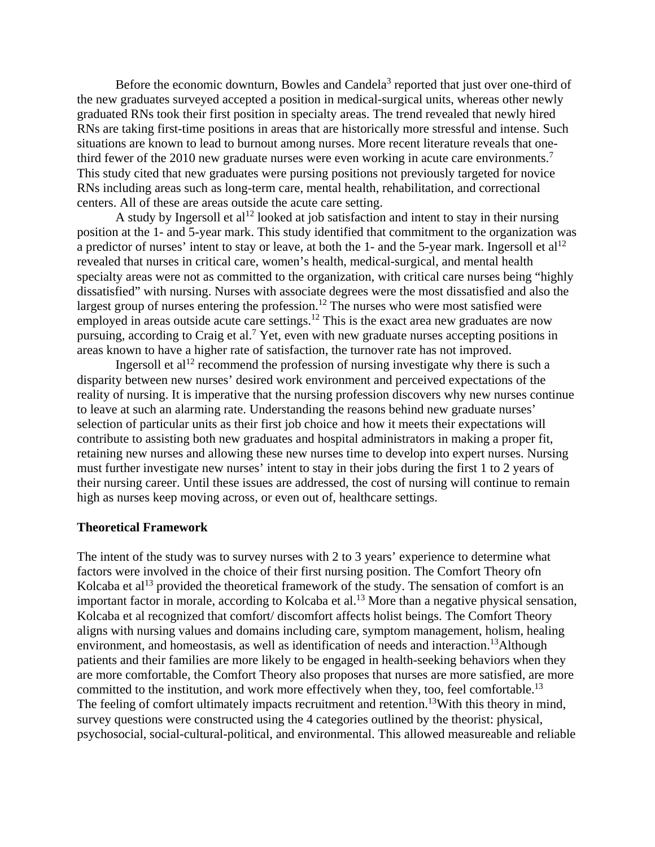Before the economic downturn, Bowles and Candela<sup>3</sup> reported that just over one-third of the new graduates surveyed accepted a position in medical-surgical units, whereas other newly graduated RNs took their first position in specialty areas. The trend revealed that newly hired RNs are taking first-time positions in areas that are historically more stressful and intense. Such situations are known to lead to burnout among nurses. More recent literature reveals that onethird fewer of the 2010 new graduate nurses were even working in acute care environments.<sup>7</sup> This study cited that new graduates were pursing positions not previously targeted for novice RNs including areas such as long-term care, mental health, rehabilitation, and correctional centers. All of these are areas outside the acute care setting.

A study by Ingersoll et  $al<sup>12</sup>$  looked at job satisfaction and intent to stay in their nursing position at the 1- and 5-year mark. This study identified that commitment to the organization was a predictor of nurses' intent to stay or leave, at both the 1- and the 5-year mark. Ingersoll et  $al^{12}$ revealed that nurses in critical care, women's health, medical-surgical, and mental health specialty areas were not as committed to the organization, with critical care nurses being "highly dissatisfied" with nursing. Nurses with associate degrees were the most dissatisfied and also the largest group of nurses entering the profession.<sup>12</sup> The nurses who were most satisfied were employed in areas outside acute care settings.<sup>12</sup> This is the exact area new graduates are now pursuing, according to Craig et al.<sup>7</sup> Yet, even with new graduate nurses accepting positions in areas known to have a higher rate of satisfaction, the turnover rate has not improved.

Ingersoll et  $al<sup>12</sup>$  recommend the profession of nursing investigate why there is such a disparity between new nurses' desired work environment and perceived expectations of the reality of nursing. It is imperative that the nursing profession discovers why new nurses continue to leave at such an alarming rate. Understanding the reasons behind new graduate nurses' selection of particular units as their first job choice and how it meets their expectations will contribute to assisting both new graduates and hospital administrators in making a proper fit, retaining new nurses and allowing these new nurses time to develop into expert nurses. Nursing must further investigate new nurses' intent to stay in their jobs during the first 1 to 2 years of their nursing career. Until these issues are addressed, the cost of nursing will continue to remain high as nurses keep moving across, or even out of, healthcare settings.

#### **Theoretical Framework**

The intent of the study was to survey nurses with 2 to 3 years' experience to determine what factors were involved in the choice of their first nursing position. The Comfort Theory ofn Kolcaba et al<sup>13</sup> provided the theoretical framework of the study. The sensation of comfort is an important factor in morale, according to Kolcaba et al.<sup>13</sup> More than a negative physical sensation, Kolcaba et al recognized that comfort/ discomfort affects holist beings. The Comfort Theory aligns with nursing values and domains including care, symptom management, holism, healing environment, and homeostasis, as well as identification of needs and interaction.<sup>13</sup>Although patients and their families are more likely to be engaged in health-seeking behaviors when they are more comfortable, the Comfort Theory also proposes that nurses are more satisfied, are more committed to the institution, and work more effectively when they, too, feel comfortable.<sup>13</sup> The feeling of comfort ultimately impacts recruitment and retention.<sup>13</sup>With this theory in mind, survey questions were constructed using the 4 categories outlined by the theorist: physical, psychosocial, social-cultural-political, and environmental. This allowed measureable and reliable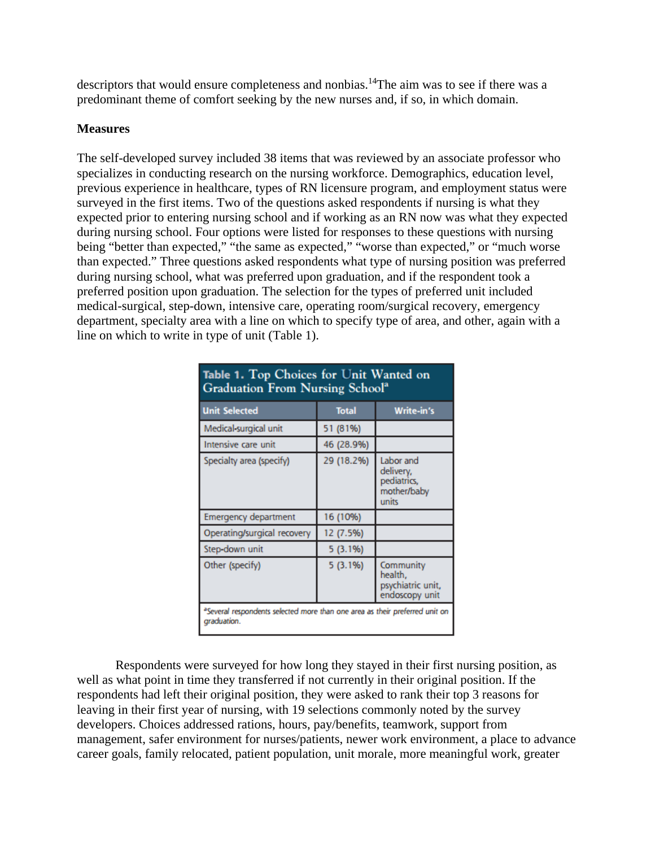descriptors that would ensure completeness and nonbias.<sup>14</sup>The aim was to see if there was a predominant theme of comfort seeking by the new nurses and, if so, in which domain.

## **Measures**

The self-developed survey included 38 items that was reviewed by an associate professor who specializes in conducting research on the nursing workforce. Demographics, education level, previous experience in healthcare, types of RN licensure program, and employment status were surveyed in the first items. Two of the questions asked respondents if nursing is what they expected prior to entering nursing school and if working as an RN now was what they expected during nursing school. Four options were listed for responses to these questions with nursing being "better than expected," "the same as expected," "worse than expected," or "much worse than expected." Three questions asked respondents what type of nursing position was preferred during nursing school, what was preferred upon graduation, and if the respondent took a preferred position upon graduation. The selection for the types of preferred unit included medical-surgical, step-down, intensive care, operating room/surgical recovery, emergency department, specialty area with a line on which to specify type of area, and other, again with a line on which to write in type of unit (Table 1).

| <b>Table 1.</b> Top Choices for Unit Wanted on<br>Graduation From Nursing School <sup>a</sup>          |              |                                                               |
|--------------------------------------------------------------------------------------------------------|--------------|---------------------------------------------------------------|
| <b>Unit Selected</b>                                                                                   | <b>Total</b> | <b>Write-in's</b>                                             |
| Medical-surgical unit                                                                                  | 51 (81%)     |                                                               |
| Intensive care unit                                                                                    | 46 (28.9%)   |                                                               |
| Specialty area (specify)                                                                               | 29 (18.2%)   | Labor and<br>delivery,<br>pediatrics,<br>mother/baby<br>units |
| Emergency department                                                                                   | 16 (10%)     |                                                               |
| Operating/surgical recovery                                                                            | 12 (7.5%)    |                                                               |
| Step-down unit                                                                                         | $5(3.1\%)$   |                                                               |
| Other (specify)                                                                                        | $5(3.1\%)$   | Community<br>health,<br>psychiatric unit,<br>endoscopy unit   |
| <sup>a</sup> Several respondents selected more than one area as their preferred unit on<br>graduation. |              |                                                               |

Respondents were surveyed for how long they stayed in their first nursing position, as well as what point in time they transferred if not currently in their original position. If the respondents had left their original position, they were asked to rank their top 3 reasons for leaving in their first year of nursing, with 19 selections commonly noted by the survey developers. Choices addressed rations, hours, pay/benefits, teamwork, support from management, safer environment for nurses/patients, newer work environment, a place to advance career goals, family relocated, patient population, unit morale, more meaningful work, greater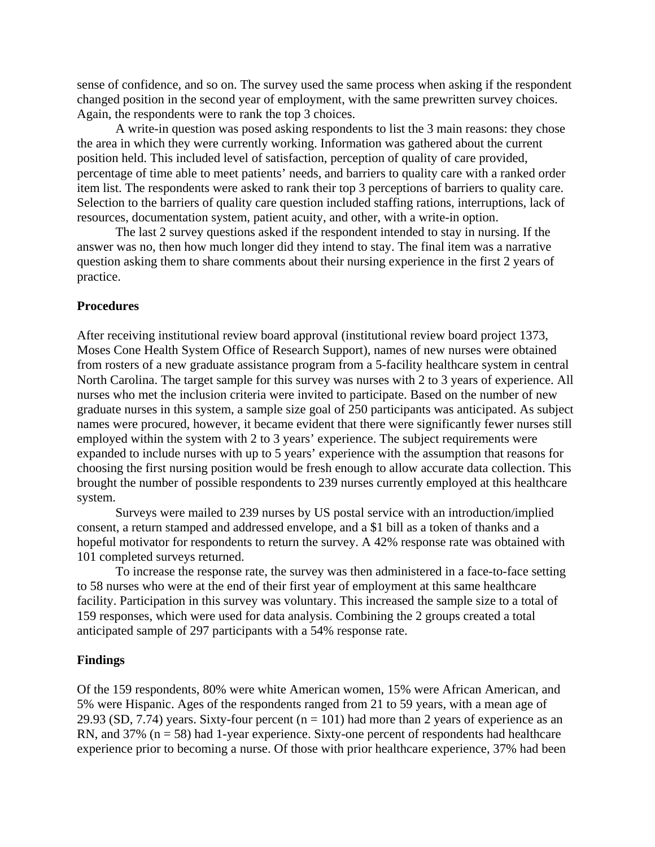sense of confidence, and so on. The survey used the same process when asking if the respondent changed position in the second year of employment, with the same prewritten survey choices. Again, the respondents were to rank the top 3 choices.

A write-in question was posed asking respondents to list the 3 main reasons: they chose the area in which they were currently working. Information was gathered about the current position held. This included level of satisfaction, perception of quality of care provided, percentage of time able to meet patients' needs, and barriers to quality care with a ranked order item list. The respondents were asked to rank their top 3 perceptions of barriers to quality care. Selection to the barriers of quality care question included staffing rations, interruptions, lack of resources, documentation system, patient acuity, and other, with a write-in option.

The last 2 survey questions asked if the respondent intended to stay in nursing. If the answer was no, then how much longer did they intend to stay. The final item was a narrative question asking them to share comments about their nursing experience in the first 2 years of practice.

### **Procedures**

After receiving institutional review board approval (institutional review board project 1373, Moses Cone Health System Office of Research Support), names of new nurses were obtained from rosters of a new graduate assistance program from a 5-facility healthcare system in central North Carolina. The target sample for this survey was nurses with 2 to 3 years of experience. All nurses who met the inclusion criteria were invited to participate. Based on the number of new graduate nurses in this system, a sample size goal of 250 participants was anticipated. As subject names were procured, however, it became evident that there were significantly fewer nurses still employed within the system with 2 to 3 years' experience. The subject requirements were expanded to include nurses with up to 5 years' experience with the assumption that reasons for choosing the first nursing position would be fresh enough to allow accurate data collection. This brought the number of possible respondents to 239 nurses currently employed at this healthcare system.

Surveys were mailed to 239 nurses by US postal service with an introduction/implied consent, a return stamped and addressed envelope, and a \$1 bill as a token of thanks and a hopeful motivator for respondents to return the survey. A 42% response rate was obtained with 101 completed surveys returned.

To increase the response rate, the survey was then administered in a face-to-face setting to 58 nurses who were at the end of their first year of employment at this same healthcare facility. Participation in this survey was voluntary. This increased the sample size to a total of 159 responses, which were used for data analysis. Combining the 2 groups created a total anticipated sample of 297 participants with a 54% response rate.

#### **Findings**

Of the 159 respondents, 80% were white American women, 15% were African American, and 5% were Hispanic. Ages of the respondents ranged from 21 to 59 years, with a mean age of 29.93 (SD, 7.74) years. Sixty-four percent  $(n = 101)$  had more than 2 years of experience as an RN, and  $37\%$  ( $n = 58$ ) had 1-year experience. Sixty-one percent of respondents had healthcare experience prior to becoming a nurse. Of those with prior healthcare experience, 37% had been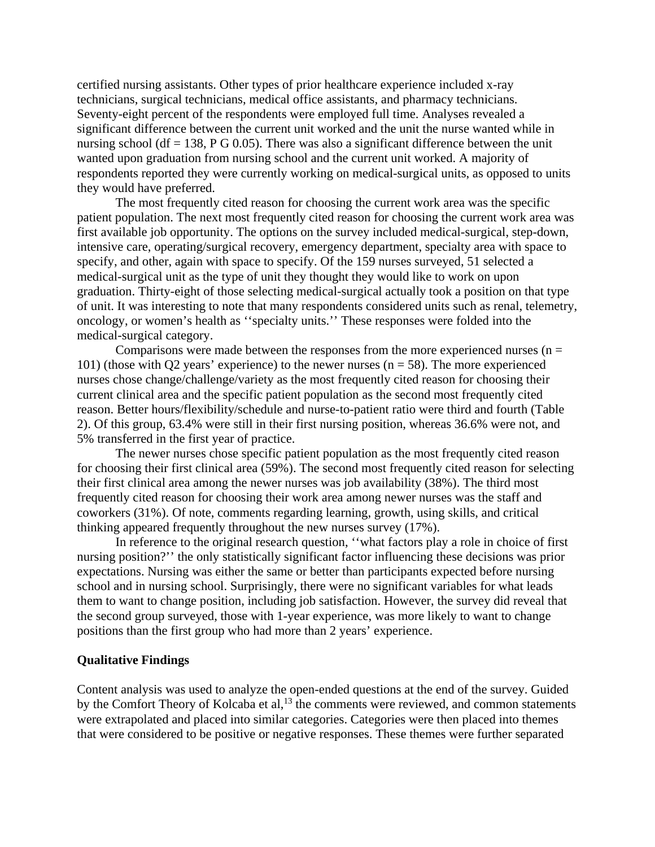certified nursing assistants. Other types of prior healthcare experience included x-ray technicians, surgical technicians, medical office assistants, and pharmacy technicians. Seventy-eight percent of the respondents were employed full time. Analyses revealed a significant difference between the current unit worked and the unit the nurse wanted while in nursing school (df = 138, P G 0.05). There was also a significant difference between the unit wanted upon graduation from nursing school and the current unit worked. A majority of respondents reported they were currently working on medical-surgical units, as opposed to units they would have preferred.

The most frequently cited reason for choosing the current work area was the specific patient population. The next most frequently cited reason for choosing the current work area was first available job opportunity. The options on the survey included medical-surgical, step-down, intensive care, operating/surgical recovery, emergency department, specialty area with space to specify, and other, again with space to specify. Of the 159 nurses surveyed, 51 selected a medical-surgical unit as the type of unit they thought they would like to work on upon graduation. Thirty-eight of those selecting medical-surgical actually took a position on that type of unit. It was interesting to note that many respondents considered units such as renal, telemetry, oncology, or women's health as ''specialty units.'' These responses were folded into the medical-surgical category.

Comparisons were made between the responses from the more experienced nurses ( $n =$ 101) (those with Q2 years' experience) to the newer nurses ( $n = 58$ ). The more experienced nurses chose change/challenge/variety as the most frequently cited reason for choosing their current clinical area and the specific patient population as the second most frequently cited reason. Better hours/flexibility/schedule and nurse-to-patient ratio were third and fourth (Table 2). Of this group, 63.4% were still in their first nursing position, whereas 36.6% were not, and 5% transferred in the first year of practice.

The newer nurses chose specific patient population as the most frequently cited reason for choosing their first clinical area (59%). The second most frequently cited reason for selecting their first clinical area among the newer nurses was job availability (38%). The third most frequently cited reason for choosing their work area among newer nurses was the staff and coworkers (31%). Of note, comments regarding learning, growth, using skills, and critical thinking appeared frequently throughout the new nurses survey (17%).

In reference to the original research question, ''what factors play a role in choice of first nursing position?'' the only statistically significant factor influencing these decisions was prior expectations. Nursing was either the same or better than participants expected before nursing school and in nursing school. Surprisingly, there were no significant variables for what leads them to want to change position, including job satisfaction. However, the survey did reveal that the second group surveyed, those with 1-year experience, was more likely to want to change positions than the first group who had more than 2 years' experience.

#### **Qualitative Findings**

Content analysis was used to analyze the open-ended questions at the end of the survey. Guided by the Comfort Theory of Kolcaba et al,<sup>13</sup> the comments were reviewed, and common statements were extrapolated and placed into similar categories. Categories were then placed into themes that were considered to be positive or negative responses. These themes were further separated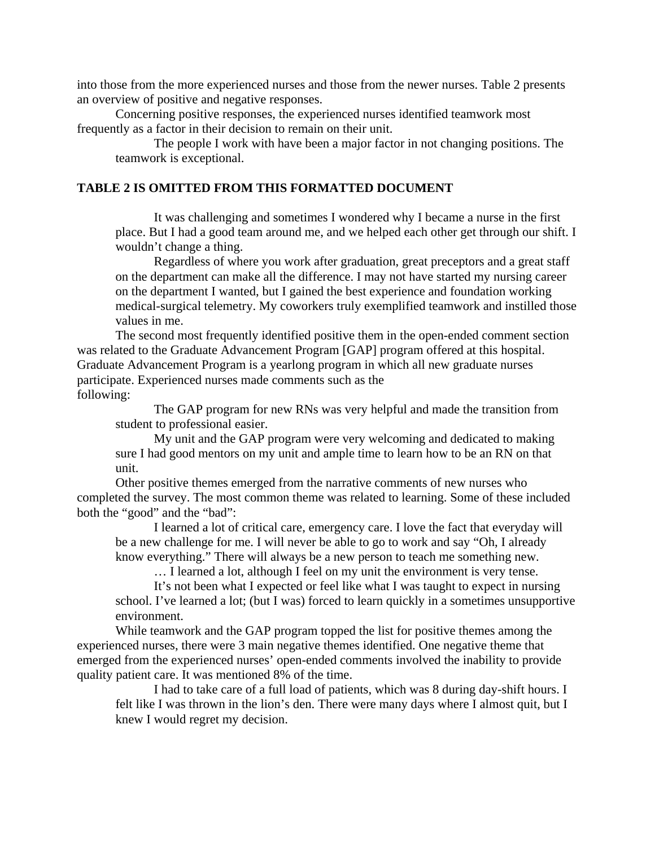into those from the more experienced nurses and those from the newer nurses. Table 2 presents an overview of positive and negative responses.

Concerning positive responses, the experienced nurses identified teamwork most frequently as a factor in their decision to remain on their unit.

The people I work with have been a major factor in not changing positions. The teamwork is exceptional.

## **TABLE 2 IS OMITTED FROM THIS FORMATTED DOCUMENT**

It was challenging and sometimes I wondered why I became a nurse in the first place. But I had a good team around me, and we helped each other get through our shift. I wouldn't change a thing.

Regardless of where you work after graduation, great preceptors and a great staff on the department can make all the difference. I may not have started my nursing career on the department I wanted, but I gained the best experience and foundation working medical-surgical telemetry. My coworkers truly exemplified teamwork and instilled those values in me.

The second most frequently identified positive them in the open-ended comment section was related to the Graduate Advancement Program [GAP] program offered at this hospital. Graduate Advancement Program is a yearlong program in which all new graduate nurses participate. Experienced nurses made comments such as the following:

The GAP program for new RNs was very helpful and made the transition from student to professional easier.

My unit and the GAP program were very welcoming and dedicated to making sure I had good mentors on my unit and ample time to learn how to be an RN on that unit.

Other positive themes emerged from the narrative comments of new nurses who completed the survey. The most common theme was related to learning. Some of these included both the "good" and the "bad":

I learned a lot of critical care, emergency care. I love the fact that everyday will be a new challenge for me. I will never be able to go to work and say "Oh, I already know everything." There will always be a new person to teach me something new.

… I learned a lot, although I feel on my unit the environment is very tense.

It's not been what I expected or feel like what I was taught to expect in nursing school. I've learned a lot; (but I was) forced to learn quickly in a sometimes unsupportive environment.

While teamwork and the GAP program topped the list for positive themes among the experienced nurses, there were 3 main negative themes identified. One negative theme that emerged from the experienced nurses' open-ended comments involved the inability to provide quality patient care. It was mentioned 8% of the time.

I had to take care of a full load of patients, which was 8 during day-shift hours. I felt like I was thrown in the lion's den. There were many days where I almost quit, but I knew I would regret my decision.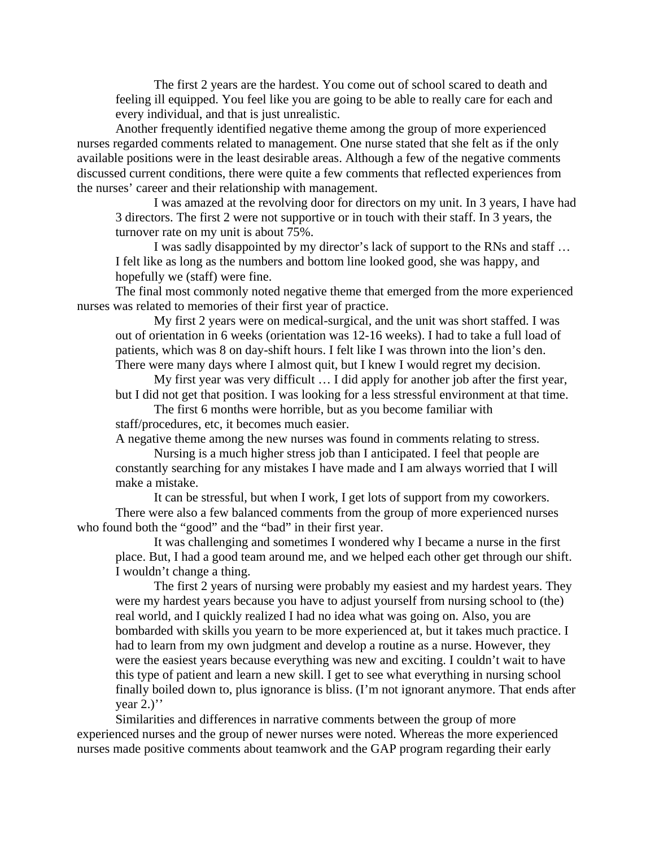The first 2 years are the hardest. You come out of school scared to death and feeling ill equipped. You feel like you are going to be able to really care for each and every individual, and that is just unrealistic.

Another frequently identified negative theme among the group of more experienced nurses regarded comments related to management. One nurse stated that she felt as if the only available positions were in the least desirable areas. Although a few of the negative comments discussed current conditions, there were quite a few comments that reflected experiences from the nurses' career and their relationship with management.

I was amazed at the revolving door for directors on my unit. In 3 years, I have had 3 directors. The first 2 were not supportive or in touch with their staff. In 3 years, the turnover rate on my unit is about 75%.

I was sadly disappointed by my director's lack of support to the RNs and staff … I felt like as long as the numbers and bottom line looked good, she was happy, and hopefully we (staff) were fine.

The final most commonly noted negative theme that emerged from the more experienced nurses was related to memories of their first year of practice.

My first 2 years were on medical-surgical, and the unit was short staffed. I was out of orientation in 6 weeks (orientation was 12-16 weeks). I had to take a full load of patients, which was 8 on day-shift hours. I felt like I was thrown into the lion's den. There were many days where I almost quit, but I knew I would regret my decision.

My first year was very difficult … I did apply for another job after the first year, but I did not get that position. I was looking for a less stressful environment at that time.

The first 6 months were horrible, but as you become familiar with staff/procedures, etc, it becomes much easier.

A negative theme among the new nurses was found in comments relating to stress.

Nursing is a much higher stress job than I anticipated. I feel that people are constantly searching for any mistakes I have made and I am always worried that I will make a mistake.

It can be stressful, but when I work, I get lots of support from my coworkers. There were also a few balanced comments from the group of more experienced nurses who found both the "good" and the "bad" in their first year.

It was challenging and sometimes I wondered why I became a nurse in the first place. But, I had a good team around me, and we helped each other get through our shift. I wouldn't change a thing.

The first 2 years of nursing were probably my easiest and my hardest years. They were my hardest years because you have to adjust yourself from nursing school to (the) real world, and I quickly realized I had no idea what was going on. Also, you are bombarded with skills you yearn to be more experienced at, but it takes much practice. I had to learn from my own judgment and develop a routine as a nurse. However, they were the easiest years because everything was new and exciting. I couldn't wait to have this type of patient and learn a new skill. I get to see what everything in nursing school finally boiled down to, plus ignorance is bliss. (I'm not ignorant anymore. That ends after year  $2.$ )''

Similarities and differences in narrative comments between the group of more experienced nurses and the group of newer nurses were noted. Whereas the more experienced nurses made positive comments about teamwork and the GAP program regarding their early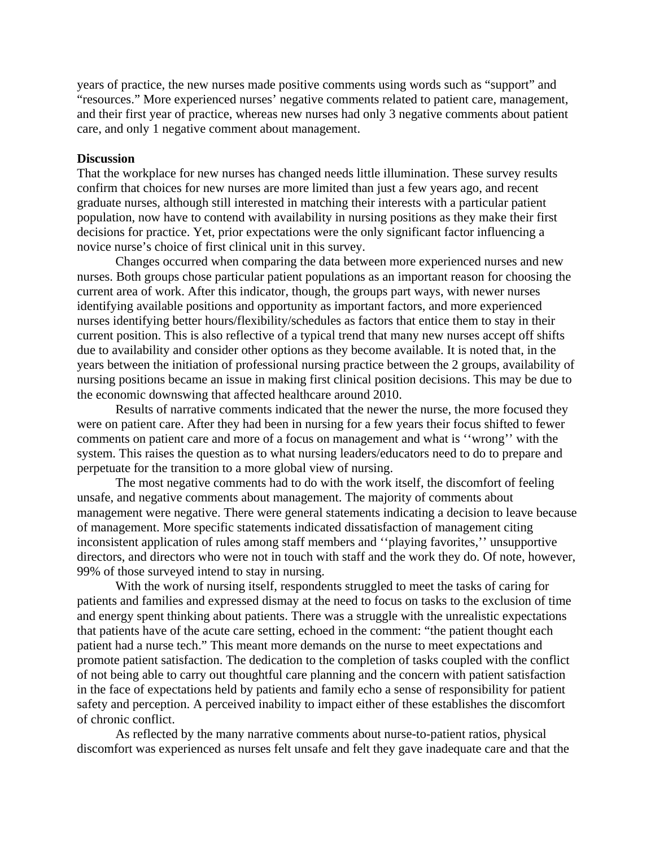years of practice, the new nurses made positive comments using words such as "support" and "resources." More experienced nurses' negative comments related to patient care, management, and their first year of practice, whereas new nurses had only 3 negative comments about patient care, and only 1 negative comment about management.

### **Discussion**

That the workplace for new nurses has changed needs little illumination. These survey results confirm that choices for new nurses are more limited than just a few years ago, and recent graduate nurses, although still interested in matching their interests with a particular patient population, now have to contend with availability in nursing positions as they make their first decisions for practice. Yet, prior expectations were the only significant factor influencing a novice nurse's choice of first clinical unit in this survey.

Changes occurred when comparing the data between more experienced nurses and new nurses. Both groups chose particular patient populations as an important reason for choosing the current area of work. After this indicator, though, the groups part ways, with newer nurses identifying available positions and opportunity as important factors, and more experienced nurses identifying better hours/flexibility/schedules as factors that entice them to stay in their current position. This is also reflective of a typical trend that many new nurses accept off shifts due to availability and consider other options as they become available. It is noted that, in the years between the initiation of professional nursing practice between the 2 groups, availability of nursing positions became an issue in making first clinical position decisions. This may be due to the economic downswing that affected healthcare around 2010.

Results of narrative comments indicated that the newer the nurse, the more focused they were on patient care. After they had been in nursing for a few years their focus shifted to fewer comments on patient care and more of a focus on management and what is ''wrong'' with the system. This raises the question as to what nursing leaders/educators need to do to prepare and perpetuate for the transition to a more global view of nursing.

The most negative comments had to do with the work itself, the discomfort of feeling unsafe, and negative comments about management. The majority of comments about management were negative. There were general statements indicating a decision to leave because of management. More specific statements indicated dissatisfaction of management citing inconsistent application of rules among staff members and ''playing favorites,'' unsupportive directors, and directors who were not in touch with staff and the work they do. Of note, however, 99% of those surveyed intend to stay in nursing.

With the work of nursing itself, respondents struggled to meet the tasks of caring for patients and families and expressed dismay at the need to focus on tasks to the exclusion of time and energy spent thinking about patients. There was a struggle with the unrealistic expectations that patients have of the acute care setting, echoed in the comment: "the patient thought each patient had a nurse tech." This meant more demands on the nurse to meet expectations and promote patient satisfaction. The dedication to the completion of tasks coupled with the conflict of not being able to carry out thoughtful care planning and the concern with patient satisfaction in the face of expectations held by patients and family echo a sense of responsibility for patient safety and perception. A perceived inability to impact either of these establishes the discomfort of chronic conflict.

As reflected by the many narrative comments about nurse-to-patient ratios, physical discomfort was experienced as nurses felt unsafe and felt they gave inadequate care and that the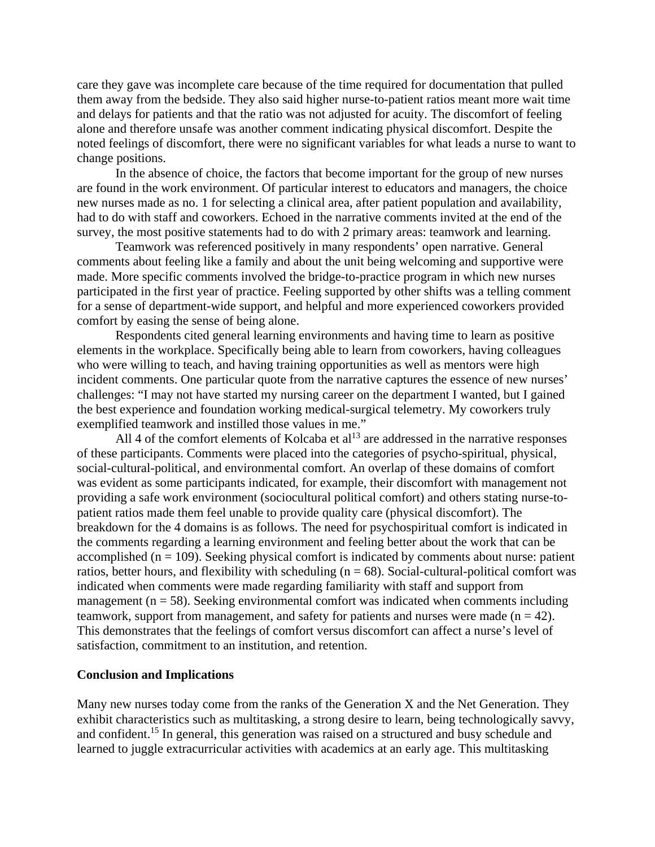care they gave was incomplete care because of the time required for documentation that pulled them away from the bedside. They also said higher nurse-to-patient ratios meant more wait time and delays for patients and that the ratio was not adjusted for acuity. The discomfort of feeling alone and therefore unsafe was another comment indicating physical discomfort. Despite the noted feelings of discomfort, there were no significant variables for what leads a nurse to want to change positions.

In the absence of choice, the factors that become important for the group of new nurses are found in the work environment. Of particular interest to educators and managers, the choice new nurses made as no. 1 for selecting a clinical area, after patient population and availability, had to do with staff and coworkers. Echoed in the narrative comments invited at the end of the survey, the most positive statements had to do with 2 primary areas: teamwork and learning.

Teamwork was referenced positively in many respondents' open narrative. General comments about feeling like a family and about the unit being welcoming and supportive were made. More specific comments involved the bridge-to-practice program in which new nurses participated in the first year of practice. Feeling supported by other shifts was a telling comment for a sense of department-wide support, and helpful and more experienced coworkers provided comfort by easing the sense of being alone.

Respondents cited general learning environments and having time to learn as positive elements in the workplace. Specifically being able to learn from coworkers, having colleagues who were willing to teach, and having training opportunities as well as mentors were high incident comments. One particular quote from the narrative captures the essence of new nurses' challenges: "I may not have started my nursing career on the department I wanted, but I gained the best experience and foundation working medical-surgical telemetry. My coworkers truly exemplified teamwork and instilled those values in me."

All 4 of the comfort elements of Kolcaba et  $al<sup>13</sup>$  are addressed in the narrative responses of these participants. Comments were placed into the categories of psycho-spiritual, physical, social-cultural-political, and environmental comfort. An overlap of these domains of comfort was evident as some participants indicated, for example, their discomfort with management not providing a safe work environment (sociocultural political comfort) and others stating nurse-topatient ratios made them feel unable to provide quality care (physical discomfort). The breakdown for the 4 domains is as follows. The need for psychospiritual comfort is indicated in the comments regarding a learning environment and feeling better about the work that can be accomplished ( $n = 109$ ). Seeking physical comfort is indicated by comments about nurse: patient ratios, better hours, and flexibility with scheduling  $(n = 68)$ . Social-cultural-political comfort was indicated when comments were made regarding familiarity with staff and support from management ( $n = 58$ ). Seeking environmental comfort was indicated when comments including teamwork, support from management, and safety for patients and nurses were made  $(n = 42)$ . This demonstrates that the feelings of comfort versus discomfort can affect a nurse's level of satisfaction, commitment to an institution, and retention.

#### **Conclusion and Implications**

Many new nurses today come from the ranks of the Generation X and the Net Generation. They exhibit characteristics such as multitasking, a strong desire to learn, being technologically savvy, and confident.<sup>15</sup> In general, this generation was raised on a structured and busy schedule and learned to juggle extracurricular activities with academics at an early age. This multitasking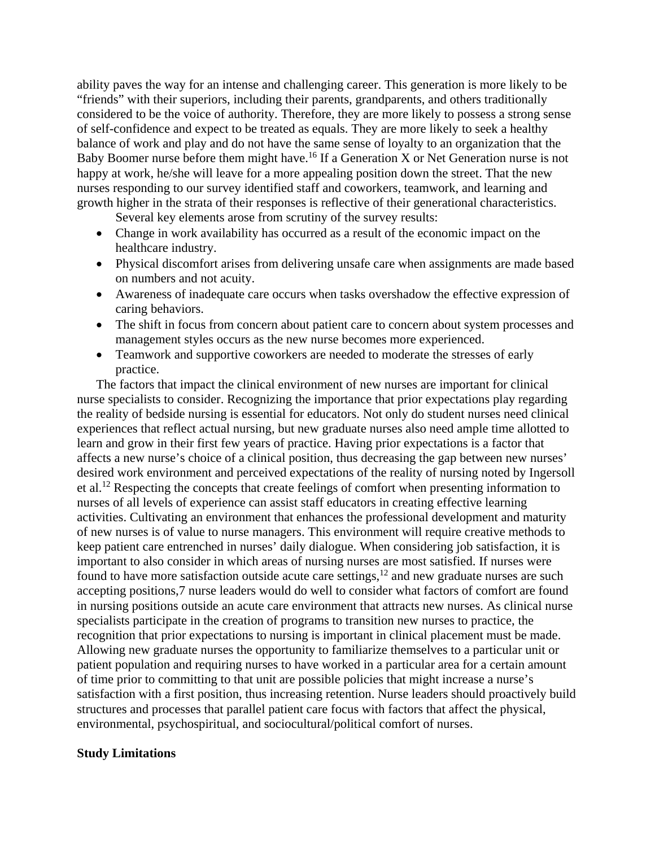ability paves the way for an intense and challenging career. This generation is more likely to be "friends" with their superiors, including their parents, grandparents, and others traditionally considered to be the voice of authority. Therefore, they are more likely to possess a strong sense of self-confidence and expect to be treated as equals. They are more likely to seek a healthy balance of work and play and do not have the same sense of loyalty to an organization that the Baby Boomer nurse before them might have.<sup>16</sup> If a Generation X or Net Generation nurse is not happy at work, he/she will leave for a more appealing position down the street. That the new nurses responding to our survey identified staff and coworkers, teamwork, and learning and growth higher in the strata of their responses is reflective of their generational characteristics.

Several key elements arose from scrutiny of the survey results:

- Change in work availability has occurred as a result of the economic impact on the healthcare industry.
- Physical discomfort arises from delivering unsafe care when assignments are made based on numbers and not acuity.
- Awareness of inadequate care occurs when tasks overshadow the effective expression of caring behaviors.
- The shift in focus from concern about patient care to concern about system processes and management styles occurs as the new nurse becomes more experienced.
- Teamwork and supportive coworkers are needed to moderate the stresses of early practice.

The factors that impact the clinical environment of new nurses are important for clinical nurse specialists to consider. Recognizing the importance that prior expectations play regarding the reality of bedside nursing is essential for educators. Not only do student nurses need clinical experiences that reflect actual nursing, but new graduate nurses also need ample time allotted to learn and grow in their first few years of practice. Having prior expectations is a factor that affects a new nurse's choice of a clinical position, thus decreasing the gap between new nurses' desired work environment and perceived expectations of the reality of nursing noted by Ingersoll et al.12 Respecting the concepts that create feelings of comfort when presenting information to nurses of all levels of experience can assist staff educators in creating effective learning activities. Cultivating an environment that enhances the professional development and maturity of new nurses is of value to nurse managers. This environment will require creative methods to keep patient care entrenched in nurses' daily dialogue. When considering job satisfaction, it is important to also consider in which areas of nursing nurses are most satisfied. If nurses were found to have more satisfaction outside acute care settings,<sup>12</sup> and new graduate nurses are such accepting positions,7 nurse leaders would do well to consider what factors of comfort are found in nursing positions outside an acute care environment that attracts new nurses. As clinical nurse specialists participate in the creation of programs to transition new nurses to practice, the recognition that prior expectations to nursing is important in clinical placement must be made. Allowing new graduate nurses the opportunity to familiarize themselves to a particular unit or patient population and requiring nurses to have worked in a particular area for a certain amount of time prior to committing to that unit are possible policies that might increase a nurse's satisfaction with a first position, thus increasing retention. Nurse leaders should proactively build structures and processes that parallel patient care focus with factors that affect the physical, environmental, psychospiritual, and sociocultural/political comfort of nurses.

## **Study Limitations**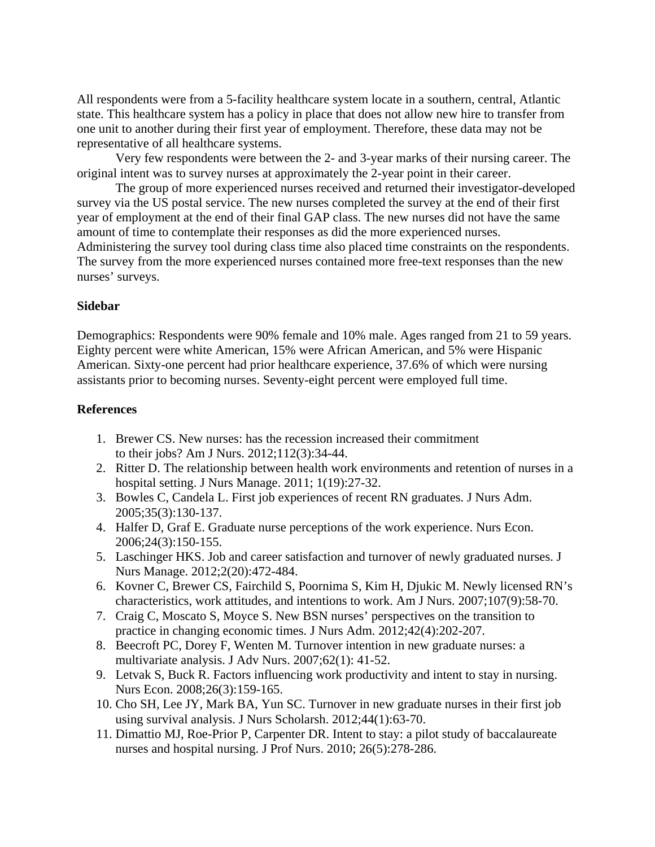All respondents were from a 5-facility healthcare system locate in a southern, central, Atlantic state. This healthcare system has a policy in place that does not allow new hire to transfer from one unit to another during their first year of employment. Therefore, these data may not be representative of all healthcare systems.

Very few respondents were between the 2- and 3-year marks of their nursing career. The original intent was to survey nurses at approximately the 2-year point in their career.

The group of more experienced nurses received and returned their investigator-developed survey via the US postal service. The new nurses completed the survey at the end of their first year of employment at the end of their final GAP class. The new nurses did not have the same amount of time to contemplate their responses as did the more experienced nurses. Administering the survey tool during class time also placed time constraints on the respondents. The survey from the more experienced nurses contained more free-text responses than the new nurses' surveys.

## **Sidebar**

Demographics: Respondents were 90% female and 10% male. Ages ranged from 21 to 59 years. Eighty percent were white American, 15% were African American, and 5% were Hispanic American. Sixty-one percent had prior healthcare experience, 37.6% of which were nursing assistants prior to becoming nurses. Seventy-eight percent were employed full time.

### **References**

- 1. Brewer CS. New nurses: has the recession increased their commitment to their jobs? Am J Nurs. 2012;112(3):34-44.
- 2. Ritter D. The relationship between health work environments and retention of nurses in a hospital setting. J Nurs Manage. 2011; 1(19):27-32.
- 3. Bowles C, Candela L. First job experiences of recent RN graduates. J Nurs Adm. 2005;35(3):130-137.
- 4. Halfer D, Graf E. Graduate nurse perceptions of the work experience. Nurs Econ. 2006;24(3):150-155.
- 5. Laschinger HKS. Job and career satisfaction and turnover of newly graduated nurses. J Nurs Manage. 2012;2(20):472-484.
- 6. Kovner C, Brewer CS, Fairchild S, Poornima S, Kim H, Djukic M. Newly licensed RN's characteristics, work attitudes, and intentions to work. Am J Nurs. 2007;107(9):58-70.
- 7. Craig C, Moscato S, Moyce S. New BSN nurses' perspectives on the transition to practice in changing economic times. J Nurs Adm. 2012;42(4):202-207.
- 8. Beecroft PC, Dorey F, Wenten M. Turnover intention in new graduate nurses: a multivariate analysis. J Adv Nurs. 2007;62(1): 41-52.
- 9. Letvak S, Buck R. Factors influencing work productivity and intent to stay in nursing. Nurs Econ. 2008;26(3):159-165.
- 10. Cho SH, Lee JY, Mark BA, Yun SC. Turnover in new graduate nurses in their first job using survival analysis. J Nurs Scholarsh. 2012;44(1):63-70.
- 11. Dimattio MJ, Roe-Prior P, Carpenter DR. Intent to stay: a pilot study of baccalaureate nurses and hospital nursing. J Prof Nurs. 2010; 26(5):278-286.